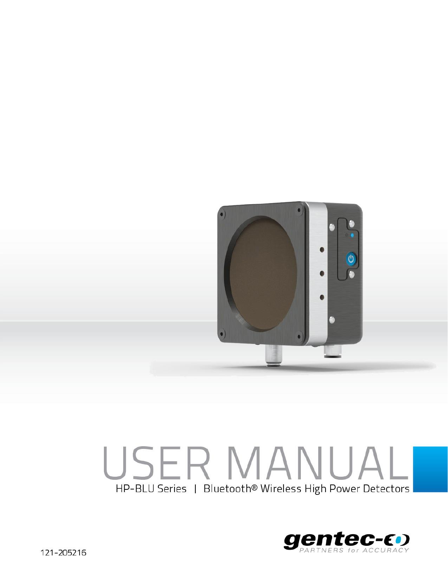

# USER MANUALI HP-BLU Series | Bluetooth® Wireless High Power Detectors

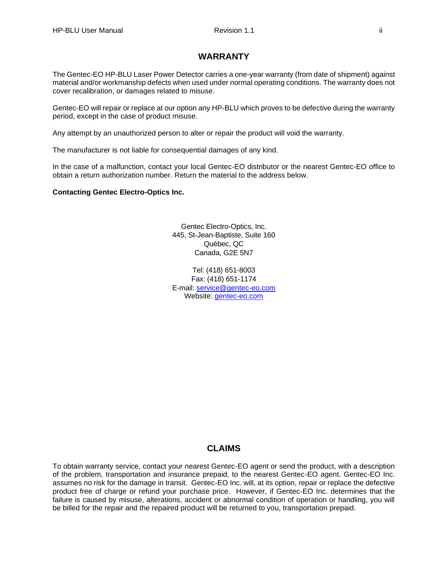# **WARRANTY**

The Gentec-EO HP-BLU Laser Power Detector carries a one-year warranty (from date of shipment) against material and/or workmanship defects when used under normal operating conditions. The warranty does not cover recalibration, or damages related to misuse.

Gentec-EO will repair or replace at our option any HP-BLU which proves to be defective during the warranty period, except in the case of product misuse.

Any attempt by an unauthorized person to alter or repair the product will void the warranty.

The manufacturer is not liable for consequential damages of any kind.

In the case of a malfunction, contact your local Gentec-EO distributor or the nearest Gentec-EO office to obtain a return authorization number. Return the material to the address below.

**Contacting Gentec Electro-Optics Inc.**

Gentec Electro-Optics, Inc. 445, St-Jean-Baptiste, Suite 160 Québec, QC Canada, G2E 5N7

Tel: (418) 651-8003 Fax: (418) 651-1174 E-mail: [service@gentec-eo.com](mailto:service@gentec-eo.com) Website: [gentec-eo.com](https://gentec-eo.com/)

#### **CLAIMS**

To obtain warranty service, contact your nearest Gentec-EO agent or send the product, with a description of the problem, transportation and insurance prepaid, to the nearest Gentec-EO agent. Gentec-EO Inc. assumes no risk for the damage in transit. Gentec-EO Inc. will, at its option, repair or replace the defective product free of charge or refund your purchase price. However, if Gentec-EO Inc. determines that the failure is caused by misuse, alterations, accident or abnormal condition of operation or handling, you will be billed for the repair and the repaired product will be returned to you, transportation prepaid.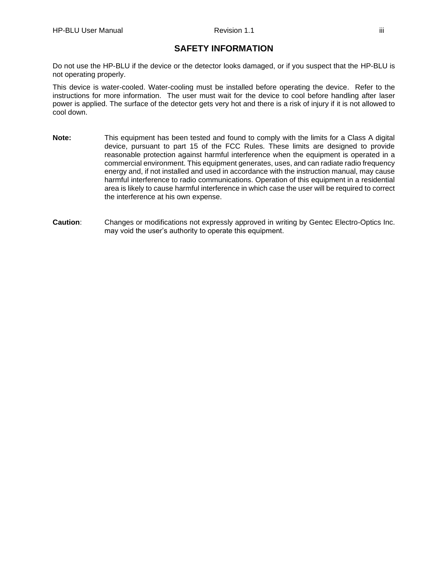# **SAFETY INFORMATION**

Do not use the HP-BLU if the device or the detector looks damaged, or if you suspect that the HP-BLU is not operating properly.

This device is water-cooled. Water-cooling must be installed before operating the device. Refer to the instructions for more information. The user must wait for the device to cool before handling after laser power is applied. The surface of the detector gets very hot and there is a risk of injury if it is not allowed to cool down.

- **Note:** This equipment has been tested and found to comply with the limits for a Class A digital device, pursuant to part 15 of the FCC Rules. These limits are designed to provide reasonable protection against harmful interference when the equipment is operated in a commercial environment. This equipment generates, uses, and can radiate radio frequency energy and, if not installed and used in accordance with the instruction manual, may cause harmful interference to radio communications. Operation of this equipment in a residential area is likely to cause harmful interference in which case the user will be required to correct the interference at his own expense.
- **Caution**: Changes or modifications not expressly approved in writing by Gentec Electro-Optics Inc. may void the user's authority to operate this equipment.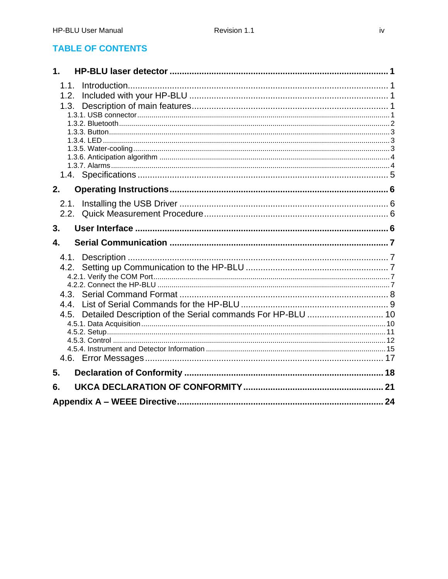# **TABLE OF CONTENTS**

| $\mathbf 1$ .                                                                              |  |
|--------------------------------------------------------------------------------------------|--|
| 1.1.<br>1.2.<br>1.3.                                                                       |  |
|                                                                                            |  |
|                                                                                            |  |
| 2.                                                                                         |  |
| 2.1.                                                                                       |  |
| 3.                                                                                         |  |
| 4.                                                                                         |  |
| 4.1.<br>4.2.<br>4.4.<br>Detailed Description of the Serial commands For HP-BLU  10<br>4.5. |  |
|                                                                                            |  |
| 5.                                                                                         |  |
| 6.                                                                                         |  |
| 24                                                                                         |  |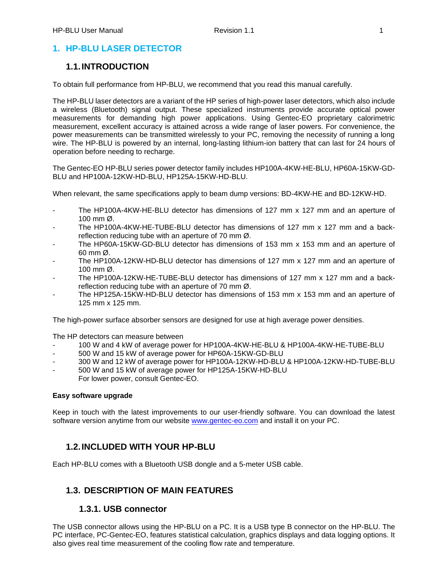# <span id="page-4-0"></span>**1. HP-BLU LASER DETECTOR**

# <span id="page-4-1"></span>**1.1.INTRODUCTION**

To obtain full performance from HP-BLU, we recommend that you read this manual carefully.

The HP-BLU laser detectors are a variant of the HP series of high-power laser detectors, which also include a wireless (Bluetooth) signal output. These specialized instruments provide accurate optical power measurements for demanding high power applications. Using Gentec-EO proprietary calorimetric measurement, excellent accuracy is attained across a wide range of laser powers. For convenience, the power measurements can be transmitted wirelessly to your PC, removing the necessity of running a long wire. The HP-BLU is powered by an internal, long-lasting lithium-ion battery that can last for 24 hours of operation before needing to recharge.

The Gentec-EO HP-BLU series power detector family includes HP100A-4KW-HE-BLU, HP60A-15KW-GD-BLU and HP100A-12KW-HD-BLU, HP125A-15KW-HD-BLU.

When relevant, the same specifications apply to beam dump versions: BD-4KW-HE and BD-12KW-HD.

- The HP100A-4KW-HE-BLU detector has dimensions of 127 mm x 127 mm and an aperture of 100 mm Ø.
- The HP100A-4KW-HE-TUBE-BLU detector has dimensions of 127 mm x 127 mm and a backreflection reducing tube with an aperture of 70 mm Ø.
- The HP60A-15KW-GD-BLU detector has dimensions of 153 mm x 153 mm and an aperture of 60 mm Ø.
- The HP100A-12KW-HD-BLU detector has dimensions of 127 mm x 127 mm and an aperture of 100 mm Ø.
- The HP100A-12KW-HE-TUBE-BLU detector has dimensions of 127 mm x 127 mm and a backreflection reducing tube with an aperture of 70 mm Ø.
- The HP125A-15KW-HD-BLU detector has dimensions of 153 mm x 153 mm and an aperture of 125 mm x 125 mm.

The high-power surface absorber sensors are designed for use at high average power densities.

The HP detectors can measure between

- 100 W and 4 kW of average power for HP100A-4KW-HE-BLU & HP100A-4KW-HE-TUBE-BLU
- 500 W and 15 kW of average power for HP60A-15KW-GD-BLU
- 300 W and 12 kW of average power for HP100A-12KW-HD-BLU & HP100A-12KW-HD-TUBE-BLU
- 500 W and 15 kW of average power for HP125A-15KW-HD-BLU
- For lower power, consult Gentec-EO.

#### **Easy software upgrade**

Keep in touch with the latest improvements to our user-friendly software. You can download the latest software version anytime from our website [www.gentec-eo.com](http://www.gentec-eo.com/) and install it on your PC.

# <span id="page-4-2"></span>**1.2.INCLUDED WITH YOUR HP-BLU**

Each HP-BLU comes with a Bluetooth USB dongle and a 5-meter USB cable.

# <span id="page-4-3"></span>**1.3. DESCRIPTION OF MAIN FEATURES**

#### **1.3.1. USB connector**

<span id="page-4-4"></span>The USB connector allows using the HP-BLU on a PC. It is a USB type B connector on the HP-BLU. The PC interface, PC-Gentec-EO, features statistical calculation, graphics displays and data logging options. It also gives real time measurement of the cooling flow rate and temperature.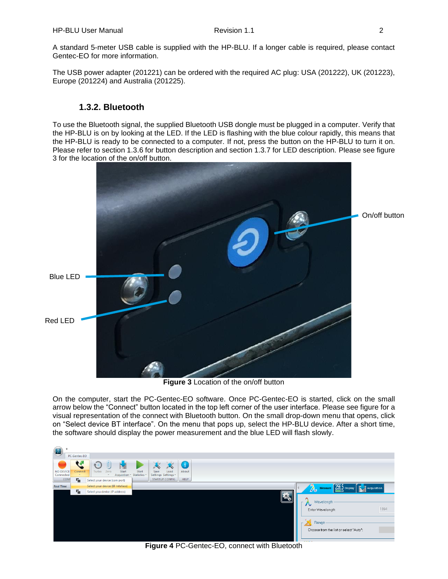A standard 5-meter USB cable is supplied with the HP-BLU. If a longer cable is required, please contact Gentec-EO for more information.

The USB power adapter (201221) can be ordered with the required AC plug: USA (201222), UK (201223), Europe (201224) and Australia (201225).

# **1.3.2. Bluetooth**

<span id="page-5-0"></span>To use the Bluetooth signal, the supplied Bluetooth USB dongle must be plugged in a computer. Verify that the HP-BLU is on by looking at the LED. If the LED is flashing with the blue colour rapidly, this means that the HP-BLU is ready to be connected to a computer. If not, press the button on the HP-BLU to turn it on. Please refer to section 1.3.6 for button description and section 1.3.7 for LED description. Please see figure 3 for the location of the on/off button.



**Figure 3** Location of the on/off button

On the computer, start the PC-Gentec-EO software. Once PC-Gentec-EO is started, click on the small arrow below the "Connect" button located in the top left corner of the user interface. Please see figure for a visual representation of the connect with Bluetooth button. On the small drop-down menu that opens, click on "Select device BT interface". On the menu that pops up, select the HP-BLU device. After a short time, the software should display the power measurement and the blue LED will flash slowly.



**Figure 4** PC-Gentec-EO, connect with Bluetooth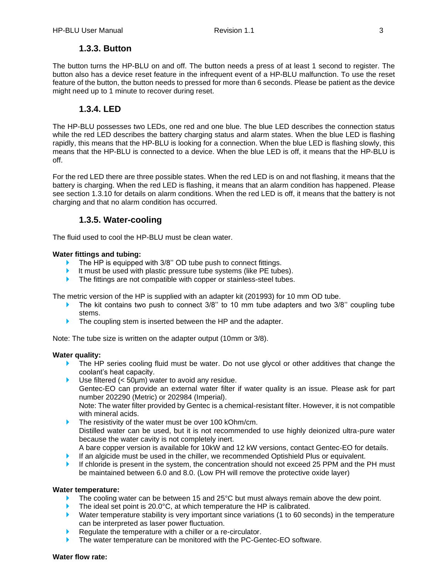# **1.3.3. Button**

<span id="page-6-0"></span>The button turns the HP-BLU on and off. The button needs a press of at least 1 second to register. The button also has a device reset feature in the infrequent event of a HP-BLU malfunction. To use the reset feature of the button, the button needs to pressed for more than 6 seconds. Please be patient as the device might need up to 1 minute to recover during reset.

#### **1.3.4. LED**

<span id="page-6-1"></span>The HP-BLU possesses two LEDs, one red and one blue. The blue LED describes the connection status while the red LED describes the battery charging status and alarm states. When the blue LED is flashing rapidly, this means that the HP-BLU is looking for a connection. When the blue LED is flashing slowly, this means that the HP-BLU is connected to a device. When the blue LED is off, it means that the HP-BLU is off.

For the red LED there are three possible states. When the red LED is on and not flashing, it means that the battery is charging. When the red LED is flashing, it means that an alarm condition has happened. Please see section 1.3.10 for details on alarm conditions. When the red LED is off, it means that the battery is not charging and that no alarm condition has occurred.

#### **1.3.5. Water-cooling**

<span id="page-6-2"></span>The fluid used to cool the HP-BLU must be clean water.

#### **Water fittings and tubing:**

- The HP is equipped with 3/8" OD tube push to connect fittings.
- It must be used with plastic pressure tube systems (like PE tubes).
- The fittings are not compatible with copper or stainless-steel tubes.

The metric version of the HP is supplied with an adapter kit (201993) for 10 mm OD tube.

- The kit contains two push to connect  $3/8$ " to 10 mm tube adapters and two  $3/8$ " coupling tube stems.
- The coupling stem is inserted between the HP and the adapter.

Note: The tube size is written on the adapter output (10mm or 3/8).

#### **Water quality:**

- The HP series cooling fluid must be water. Do not use glycol or other additives that change the coolant's heat capacity.
- ▶ Use filtered (< 50µm) water to avoid any residue.

Gentec-EO can provide an external water filter if water quality is an issue. Please ask for part number 202290 (Metric) or 202984 (Imperial).

Note: The water filter provided by Gentec is a chemical-resistant filter. However, it is not compatible with mineral acids.

- The resistivity of the water must be over 100 kOhm/cm. Distilled water can be used, but it is not recommended to use highly deionized ultra-pure water because the water cavity is not completely inert. A bare copper version is available for 10kW and 12 kW versions, contact Gentec-EO for details.
- If an algicide must be used in the chiller, we recommended Optishield Plus or equivalent.
- If chloride is present in the system, the concentration should not exceed 25 PPM and the PH must be maintained between 6.0 and 8.0. (Low PH will remove the protective oxide layer)

#### **Water temperature:**

- The cooling water can be between 15 and 25°C but must always remain above the dew point.
- The ideal set point is 20.0°C, at which temperature the HP is calibrated.
- Water temperature stability is very important since variations (1 to 60 seconds) in the temperature can be interpreted as laser power fluctuation.
- Requiate the temperature with a chiller or a re-circulator.
- The water temperature can be monitored with the PC-Gentec-EO software.

#### **Water flow rate:**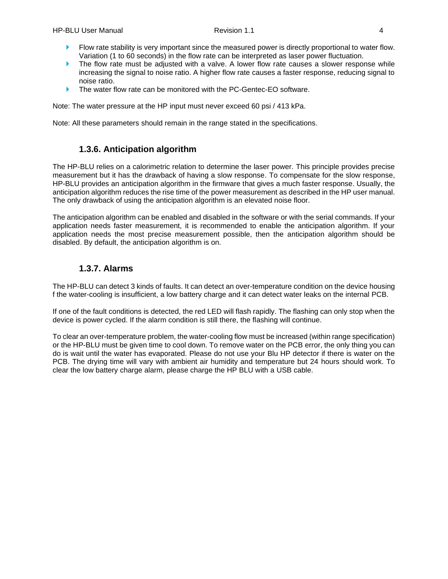- **Flow rate stability is very important since the measured power is directly proportional to water flow.** Variation (1 to 60 seconds) in the flow rate can be interpreted as laser power fluctuation.
- The flow rate must be adjusted with a valve. A lower flow rate causes a slower response while increasing the signal to noise ratio. A higher flow rate causes a faster response, reducing signal to noise ratio.
- The water flow rate can be monitored with the PC-Gentec-EO software.

Note: The water pressure at the HP input must never exceed 60 psi / 413 kPa.

Note: All these parameters should remain in the range stated in the specifications.

# **1.3.6. Anticipation algorithm**

<span id="page-7-0"></span>The HP-BLU relies on a calorimetric relation to determine the laser power. This principle provides precise measurement but it has the drawback of having a slow response. To compensate for the slow response, HP-BLU provides an anticipation algorithm in the firmware that gives a much faster response. Usually, the anticipation algorithm reduces the rise time of the power measurement as described in the HP user manual. The only drawback of using the anticipation algorithm is an elevated noise floor.

The anticipation algorithm can be enabled and disabled in the software or with the serial commands. If your application needs faster measurement, it is recommended to enable the anticipation algorithm. If your application needs the most precise measurement possible, then the anticipation algorithm should be disabled. By default, the anticipation algorithm is on.

# **1.3.7. Alarms**

<span id="page-7-1"></span>The HP-BLU can detect 3 kinds of faults. It can detect an over-temperature condition on the device housing f the water-cooling is insufficient, a low battery charge and it can detect water leaks on the internal PCB.

If one of the fault conditions is detected, the red LED will flash rapidly. The flashing can only stop when the device is power cycled. If the alarm condition is still there, the flashing will continue.

To clear an over-temperature problem, the water-cooling flow must be increased (within range specification) or the HP-BLU must be given time to cool down. To remove water on the PCB error, the only thing you can do is wait until the water has evaporated. Please do not use your Blu HP detector if there is water on the PCB. The drying time will vary with ambient air humidity and temperature but 24 hours should work. To clear the low battery charge alarm, please charge the HP BLU with a USB cable.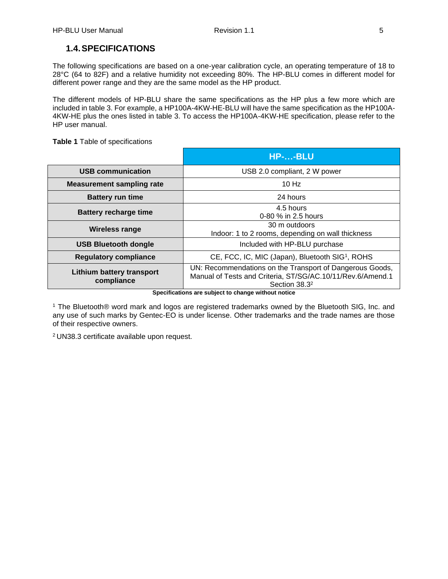# <span id="page-8-0"></span>**1.4.SPECIFICATIONS**

The following specifications are based on a one-year calibration cycle, an operating temperature of 18 to 28°C (64 to 82F) and a relative humidity not exceeding 80%. The HP-BLU comes in different model for different power range and they are the same model as the HP product.

The different models of HP-BLU share the same specifications as the HP plus a few more which are included in table 3. For example, a HP100A-4KW-HE-BLU will have the same specification as the HP100A-4KW-HE plus the ones listed in table 3. To access the HP100A-4KW-HE specification, please refer to the HP user manual.

**Table 1** Table of specifications

|                                                | HP--BLU                                                                                                                                             |  |
|------------------------------------------------|-----------------------------------------------------------------------------------------------------------------------------------------------------|--|
| <b>USB communication</b>                       | USB 2.0 compliant, 2 W power                                                                                                                        |  |
| <b>Measurement sampling rate</b>               | 10 Hz                                                                                                                                               |  |
| <b>Battery run time</b>                        | 24 hours                                                                                                                                            |  |
| <b>Battery recharge time</b>                   | 4.5 hours<br>0-80 % in 2.5 hours                                                                                                                    |  |
| Wireless range                                 | 30 m outdoors<br>Indoor: 1 to 2 rooms, depending on wall thickness                                                                                  |  |
| <b>USB Bluetooth dongle</b>                    | Included with HP-BLU purchase                                                                                                                       |  |
| <b>Regulatory compliance</b>                   | CE, FCC, IC, MIC (Japan), Bluetooth SIG1, ROHS                                                                                                      |  |
| <b>Lithium battery transport</b><br>compliance | UN: Recommendations on the Transport of Dangerous Goods,<br>Manual of Tests and Criteria, ST/SG/AC.10/11/Rev.6/Amend.1<br>Section 38.3 <sup>2</sup> |  |

**Specifications are subject to change without notice**

<sup>1</sup> The Bluetooth® word mark and logos are registered trademarks owned by the Bluetooth SIG, Inc. and any use of such marks by Gentec-EO is under license. Other trademarks and the trade names are those of their respective owners.

<sup>2</sup> UN38.3 certificate available upon request.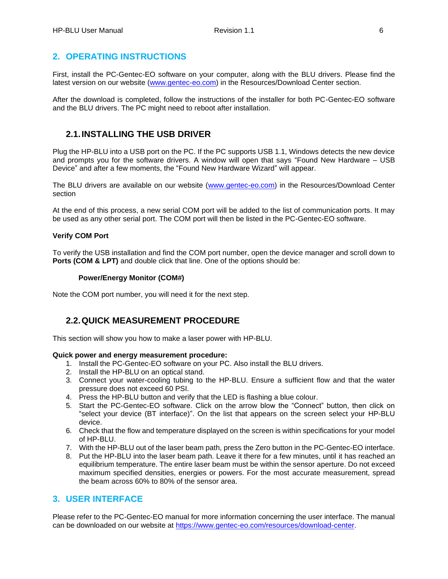# <span id="page-9-0"></span>**2. OPERATING INSTRUCTIONS**

First, install the PC-Gentec-EO software on your computer, along with the BLU drivers. Please find the latest version on our website [\(www.gentec-eo.com\)](http://www.gentec-eo.com/) in the Resources/Download Center section.

After the download is completed, follow the instructions of the installer for both PC-Gentec-EO software and the BLU drivers. The PC might need to reboot after installation.

# <span id="page-9-1"></span>**2.1.INSTALLING THE USB DRIVER**

Plug the HP-BLU into a USB port on the PC. If the PC supports USB 1.1, Windows detects the new device and prompts you for the software drivers. A window will open that says "Found New Hardware – USB Device" and after a few moments, the "Found New Hardware Wizard" will appear.

The BLU drivers are available on our website [\(www.gentec-eo.com\)](http://www.gentec-eo.com/) in the Resources/Download Center section

At the end of this process, a new serial COM port will be added to the list of communication ports. It may be used as any other serial port. The COM port will then be listed in the PC-Gentec-EO software.

#### **Verify COM Port**

To verify the USB installation and find the COM port number, open the device manager and scroll down to **Ports (COM & LPT)** and double click that line. One of the options should be:

#### **Power/Energy Monitor (COM#)**

Note the COM port number, you will need it for the next step.

#### <span id="page-9-2"></span>**2.2.QUICK MEASUREMENT PROCEDURE**

This section will show you how to make a laser power with HP-BLU.

#### **Quick power and energy measurement procedure:**

- 1. Install the PC-Gentec-EO software on your PC. Also install the BLU drivers.
- 2. Install the HP-BLU on an optical stand.
- 3. Connect your water-cooling tubing to the HP-BLU. Ensure a sufficient flow and that the water pressure does not exceed 60 PSI.
- 4. Press the HP-BLU button and verify that the LED is flashing a blue colour.
- 5. Start the PC-Gentec-EO software. Click on the arrow blow the "Connect" button, then click on "select your device (BT interface)". On the list that appears on the screen select your HP-BLU device.
- 6. Check that the flow and temperature displayed on the screen is within specifications for your model of HP-BLU.
- 7. With the HP-BLU out of the laser beam path, press the Zero button in the PC-Gentec-EO interface.
- 8. Put the HP-BLU into the laser beam path. Leave it there for a few minutes, until it has reached an equilibrium temperature. The entire laser beam must be within the sensor aperture. Do not exceed maximum specified densities, energies or powers. For the most accurate measurement, spread the beam across 60% to 80% of the sensor area.

#### <span id="page-9-3"></span>**3. USER INTERFACE**

Please refer to the PC-Gentec-EO manual for more information concerning the user interface. The manual can be downloaded on our website at [https://www.gentec-eo.com/resources/download-center.](https://www.gentec-eo.com/resources/download-center)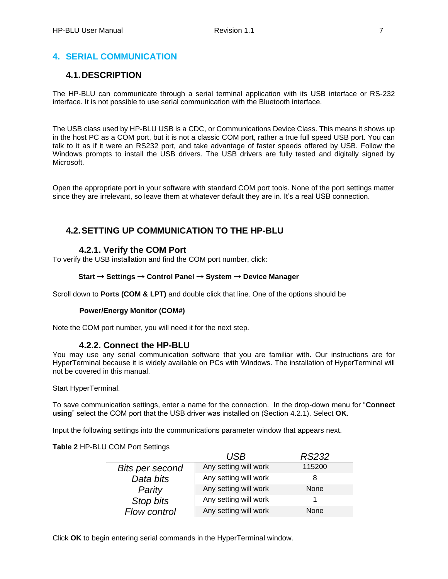# <span id="page-10-0"></span>**4. SERIAL COMMUNICATION**

# <span id="page-10-1"></span>**4.1.DESCRIPTION**

The HP-BLU can communicate through a serial terminal application with its USB interface or RS-232 interface. It is not possible to use serial communication with the Bluetooth interface.

The USB class used by HP-BLU USB is a CDC, or Communications Device Class. This means it shows up in the host PC as a COM port, but it is not a classic COM port, rather a true full speed USB port. You can talk to it as if it were an RS232 port, and take advantage of faster speeds offered by USB. Follow the Windows prompts to install the USB drivers. The USB drivers are fully tested and digitally signed by Microsoft.

Open the appropriate port in your software with standard COM port tools. None of the port settings matter since they are irrelevant, so leave them at whatever default they are in. It's a real USB connection.

# <span id="page-10-2"></span>**4.2.SETTING UP COMMUNICATION TO THE HP-BLU**

# **4.2.1. Verify the COM Port**

<span id="page-10-3"></span>To verify the USB installation and find the COM port number, click:

#### **Start** → **Settings** → **Control Panel** → **System** → **Device Manager**

Scroll down to **Ports (COM & LPT)** and double click that line. One of the options should be

#### **Power/Energy Monitor (COM#)**

Note the COM port number, you will need it for the next step.

#### **4.2.2. Connect the HP-BLU**

<span id="page-10-4"></span>You may use any serial communication software that you are familiar with. Our instructions are for HyperTerminal because it is widely available on PCs with Windows. The installation of HyperTerminal will not be covered in this manual.

Start HyperTerminal.

To save communication settings, enter a name for the connection. In the drop-down menu for "**Connect using**" select the COM port that the USB driver was installed on (Section [4.2.1\)](#page-10-3). Select **OK**.

Input the following settings into the communications parameter window that appears next.

#### **Table 2** HP-BLU COM Port Settings

|                 | USB                   | <i>RS232</i> |
|-----------------|-----------------------|--------------|
| Bits per second | Any setting will work | 115200       |
| Data bits       | Any setting will work |              |
| Parity          | Any setting will work | None         |
| Stop bits       | Any setting will work |              |
| Flow control    | Any setting will work | None         |

Click **OK** to begin entering serial commands in the HyperTerminal window.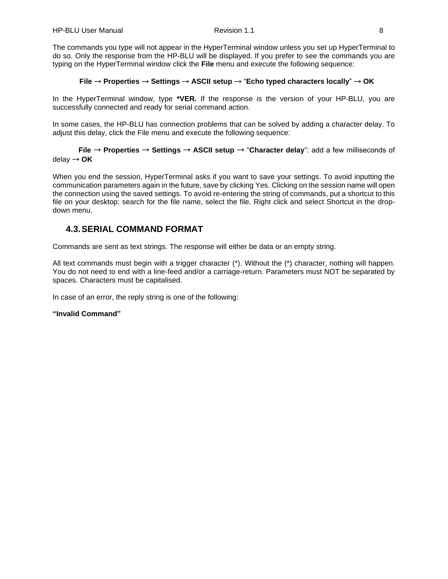The commands you type will not appear in the HyperTerminal window unless you set up HyperTerminal to do so. Only the response from the HP-BLU will be displayed. If you prefer to see the commands you are typing on the HyperTerminal window click the **File** menu and execute the following sequence:

#### **File** → **Properties** → **Settings** → **ASCII setup** → "**Echo typed characters locally**" → **OK**

In the HyperTerminal window, type **\*VER.** If the response is the version of your HP-BLU, you are successfully connected and ready for serial command action.

In some cases, the HP-BLU has connection problems that can be solved by adding a character delay. To adjust this delay, click the File menu and execute the following sequence:

#### **File** → **Properties** → **Settings** → **ASCII setup** → "**Character delay**": add a few milliseconds of delay → **OK**

When you end the session, HyperTerminal asks if you want to save your settings. To avoid inputting the communication parameters again in the future, save by clicking Yes. Clicking on the session name will open the connection using the saved settings. To avoid re-entering the string of commands, put a shortcut to this file on your desktop: search for the file name, select the file. Right click and select Shortcut in the dropdown menu.

# <span id="page-11-0"></span>**4.3.SERIAL COMMAND FORMAT**

Commands are sent as text strings. The response will either be data or an empty string.

All text commands must begin with a trigger character (\*). Without the (\*) character, nothing will happen. You do not need to end with a line-feed and/or a carriage-return. Parameters must NOT be separated by spaces. Characters must be capitalised.

In case of an error, the reply string is one of the following:

#### **"Invalid Command"**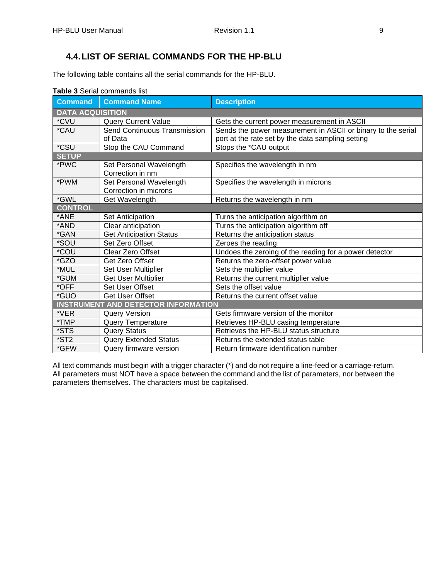# <span id="page-12-0"></span>**4.4.LIST OF SERIAL COMMANDS FOR THE HP-BLU**

The following table contains all the serial commands for the HP-BLU.

| <b>Command</b>                             | <b>Command Name</b>            | <b>Description</b>                                           |  |  |
|--------------------------------------------|--------------------------------|--------------------------------------------------------------|--|--|
| <b>DATA ACQUISITION</b>                    |                                |                                                              |  |  |
| *CVU                                       | <b>Query Current Value</b>     | Gets the current power measurement in ASCII                  |  |  |
| *CAU                                       | Send Continuous Transmission   | Sends the power measurement in ASCII or binary to the serial |  |  |
|                                            | of Data                        | port at the rate set by the data sampling setting            |  |  |
| *CSU                                       | Stop the CAU Command           | Stops the *CAU output                                        |  |  |
| <b>SETUP</b>                               |                                |                                                              |  |  |
| *PWC                                       | Set Personal Wavelength        | Specifies the wavelength in nm                               |  |  |
|                                            | Correction in nm               |                                                              |  |  |
| *PWM                                       | Set Personal Wavelength        | Specifies the wavelength in microns                          |  |  |
|                                            | Correction in microns          |                                                              |  |  |
| *GWL                                       | Get Wavelength                 | Returns the wavelength in nm                                 |  |  |
| <b>CONTROL</b>                             |                                |                                                              |  |  |
| *ANE                                       | Set Anticipation               | Turns the anticipation algorithm on                          |  |  |
| *AND                                       | Clear anticipation             | Turns the anticipation algorithm off                         |  |  |
| *GAN                                       | <b>Get Anticipation Status</b> | Returns the anticipation status                              |  |  |
| *SOU                                       | Set Zero Offset                | Zeroes the reading                                           |  |  |
| *COU                                       | Clear Zero Offset              | Undoes the zeroing of the reading for a power detector       |  |  |
| *GZO                                       | Get Zero Offset                | Returns the zero-offset power value                          |  |  |
| *MUL                                       | <b>Set User Multiplier</b>     | Sets the multiplier value                                    |  |  |
| *GUM                                       | Get User Multiplier            | Returns the current multiplier value                         |  |  |
| *OFF                                       | <b>Set User Offset</b>         | Sets the offset value                                        |  |  |
| *GUO                                       | Get User Offset                | Returns the current offset value                             |  |  |
| <b>INSTRUMENT AND DETECTOR INFORMATION</b> |                                |                                                              |  |  |
| *VER                                       | <b>Query Version</b>           | Gets firmware version of the monitor                         |  |  |
| *TMP                                       | <b>Query Temperature</b>       | Retrieves HP-BLU casing temperature                          |  |  |
| *STS                                       | <b>Query Status</b>            | Retrieves the HP-BLU status structure                        |  |  |
| $*ST2$                                     | <b>Query Extended Status</b>   | Returns the extended status table                            |  |  |
| *GFW                                       | Query firmware version         | Return firmware identification number                        |  |  |

#### **Table 3** Serial commands list

All text commands must begin with a trigger character (\*) and do not require a line-feed or a carriage-return. All parameters must NOT have a space between the command and the list of parameters, nor between the parameters themselves. The characters must be capitalised.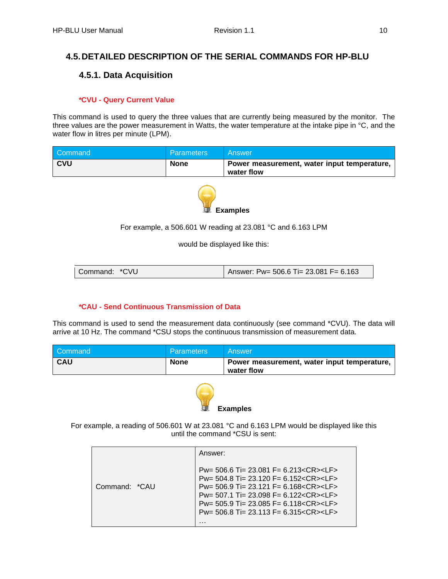# <span id="page-13-1"></span><span id="page-13-0"></span>**4.5.DETAILED DESCRIPTION OF THE SERIAL COMMANDS FOR HP-BLU**

# **4.5.1. Data Acquisition**

#### *\****CVU - Query Current Value**

This command is used to query the three values that are currently being measured by the monitor. The three values are the power measurement in Watts, the water temperature at the intake pipe in °C, and the water flow in litres per minute (LPM).

| Command    | <b>Parameters</b> | Answer                                                    |
|------------|-------------------|-----------------------------------------------------------|
| <b>CVU</b> | <b>None</b>       | Power measurement, water input temperature,<br>water flow |



For example, a 506.601 W reading at 23.081 °C and 6.163 LPM

would be displayed like this:

| Command: *CVU | Answer: Pw= 506.6 Ti= 23.081 F= 6.163 |
|---------------|---------------------------------------|
|---------------|---------------------------------------|

#### *\****CAU - Send Continuous Transmission of Data**

This command is used to send the measurement data continuously (see command \*CVU). The data will arrive at 10 Hz. The command \*CSU stops the continuous transmission of measurement data.

| Command    | <b>Parameters</b> | Answer                                                    |
|------------|-------------------|-----------------------------------------------------------|
| <b>CAU</b> | <b>None</b>       | Power measurement, water input temperature,<br>water flow |



For example, a reading of 506.601 W at 23.081 °C and 6.163 LPM would be displayed like this until the command \*CSU is sent:

|               | Answer:                                                                                                                                                                                                                                                                                                                                                        |
|---------------|----------------------------------------------------------------------------------------------------------------------------------------------------------------------------------------------------------------------------------------------------------------------------------------------------------------------------------------------------------------|
| Command: *CAU | Pw= 506.6 Ti= 23.081 F= 6.213 <cr><lf><br/>Pw= 504.8 Ti= 23.120 F= 6.152<cr><lf><br/>Pw= 506.9 Ti= 23.121 F= 6.168<cr><lf><br/><math>Pw = 507.1</math> Ti= 23.098 F= 6.122<cr><lf><br/>Pw= 505.9 Ti= 23.085 F= 6.118<cr><lf><br/><math>Pw = 506.8</math> Ti= 23.113 F= 6.315 &lt; CR &gt; &lt; LF &gt;<br/>.</lf></cr></lf></cr></lf></cr></lf></cr></lf></cr> |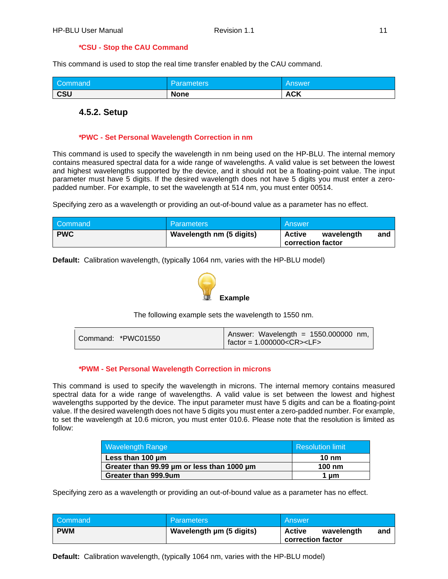#### *\****CSU - Stop the CAU Command**

This command is used to stop the real time transfer enabled by the CAU command.

| Command    | <b>Parameters</b> | <b>Answer</b> |
|------------|-------------------|---------------|
| <b>CSU</b> | <b>None</b>       | <b>ACK</b>    |

#### <span id="page-14-0"></span>**4.5.2. Setup**

#### *\****PWC - Set Personal Wavelength Correction in nm**

This command is used to specify the wavelength in nm being used on the HP-BLU. The internal memory contains measured spectral data for a wide range of wavelengths. A valid value is set between the lowest and highest wavelengths supported by the device, and it should not be a floating-point value. The input parameter must have 5 digits. If the desired wavelength does not have 5 digits you must enter a zeropadded number. For example, to set the wavelength at 514 nm, you must enter 00514.

Specifying zero as a wavelength or providing an out-of-bound value as a parameter has no effect.

| Command    | <b>Parameters</b>        | <b>Answer</b>                                    |
|------------|--------------------------|--------------------------------------------------|
| <b>PWC</b> | Wavelength nm (5 digits) | Active<br>and<br>wavelength<br>correction factor |

**Default:** Calibration wavelength, (typically 1064 nm, varies with the HP-BLU model)



The following example sets the wavelength to 1550 nm.

#### *\****PWM - Set Personal Wavelength Correction in microns**

This command is used to specify the wavelength in microns. The internal memory contains measured spectral data for a wide range of wavelengths. A valid value is set between the lowest and highest wavelengths supported by the device. The input parameter must have 5 digits and can be a floating-point value. If the desired wavelength does not have 5 digits you must enter a zero-padded number. For example, to set the wavelength at 10.6 micron, you must enter 010.6. Please note that the resolution is limited as follow:

| <b>Wavelength Range</b>                    | <b>Resolution limit</b> |
|--------------------------------------------|-------------------------|
| Less than 100 um                           | $10 \text{ nm}$         |
| Greater than 99.99 um or less than 1000 um | $100 \text{ nm}$        |
| Greater than 999.9um                       | 1 um                    |

Specifying zero as a wavelength or providing an out-of-bound value as a parameter has no effect.

| Command    | <b>Parameters</b>        | Answer                                           |
|------------|--------------------------|--------------------------------------------------|
| <b>PWM</b> | Wavelength µm (5 digits) | Active<br>and<br>wavelength<br>correction factor |

**Default:** Calibration wavelength, (typically 1064 nm, varies with the HP-BLU model)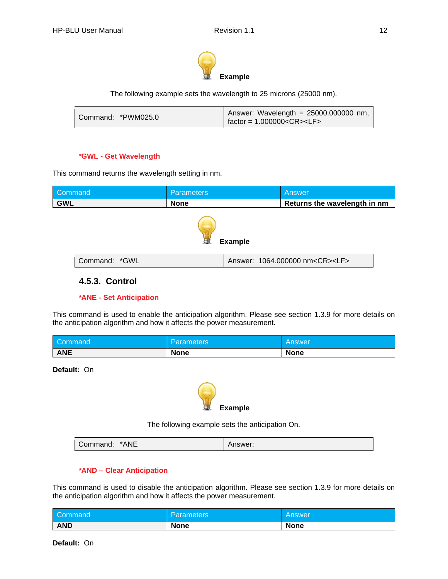

The following example sets the wavelength to 25 microns (25000 nm).

#### *\****GWL - Get Wavelength**

This command returns the wavelength setting in nm.

| Command        | <b>Parameters</b> |  | Answer                                    |  |
|----------------|-------------------|--|-------------------------------------------|--|
| <b>GWL</b>     | <b>None</b>       |  | Returns the wavelength in nm              |  |
| <b>Example</b> |                   |  |                                           |  |
| Command: *GWL  |                   |  | Answer: 1064.000000 nm <cr><lf></lf></cr> |  |

# <span id="page-15-0"></span>**4.5.3. Control**

#### *\****ANE - Set Anticipation**

This command is used to enable the anticipation algorithm. Please see section 1.3.9 for more details on the anticipation algorithm and how it affects the power measurement.

| Command    | <b>Parameters</b> | <b>Answer</b> |
|------------|-------------------|---------------|
| <b>ANE</b> | <b>None</b>       | <b>None</b>   |

**Default:** On



The following example sets the anticipation On.

| *ANE<br>Command: | Answer: |
|------------------|---------|
|------------------|---------|

#### *\****AND – Clear Anticipation**

This command is used to disable the anticipation algorithm. Please see section 1.3.9 for more details on the anticipation algorithm and how it affects the power measurement.

| Command    | l Parameters' | <b>Answer</b> |
|------------|---------------|---------------|
| <b>AND</b> | <b>None</b>   | <b>None</b>   |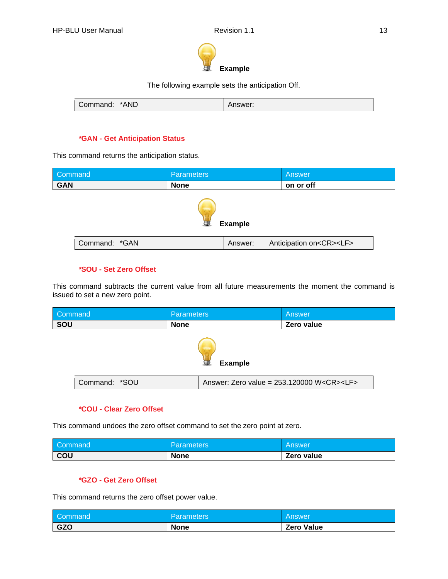

The following example sets the anticipation Off.

| *AND<br>Command: | าswer: |
|------------------|--------|
|------------------|--------|

#### *\****GAN - Get Anticipation Status**

This command returns the anticipation status.

| Command        | <b>Parameters</b> |         | Answer                             |  |
|----------------|-------------------|---------|------------------------------------|--|
| <b>GAN</b>     | <b>None</b>       |         | on or off                          |  |
| <b>Example</b> |                   |         |                                    |  |
| Command: *GAN  |                   | Answer: | Anticipation on <cr><lf></lf></cr> |  |

#### *\****SOU - Set Zero Offset**

This command subtracts the current value from all future measurements the moment the command is issued to set a new zero point.

| Command             |                                                                       | <b>Parameters</b> |  | Answer     |
|---------------------|-----------------------------------------------------------------------|-------------------|--|------------|
| SOU                 |                                                                       | <b>None</b>       |  | Zero value |
| <b>Example</b><br>律 |                                                                       |                   |  |            |
|                     | Command: *SOU<br>Answer: Zero value = 253.120000 W <cr><lf></lf></cr> |                   |  |            |

#### *\****COU - Clear Zero Offset**

This command undoes the zero offset command to set the zero point at zero.

| Command <sup>1</sup> | Parameters  | ' Answer   |
|----------------------|-------------|------------|
| COU                  | <b>None</b> | Zero value |

#### *\****GZO - Get Zero Offset**

This command returns the zero offset power value.

| Command    | Parameters  | ' Answer          |
|------------|-------------|-------------------|
| <b>GZO</b> | <b>None</b> | <b>Zero Value</b> |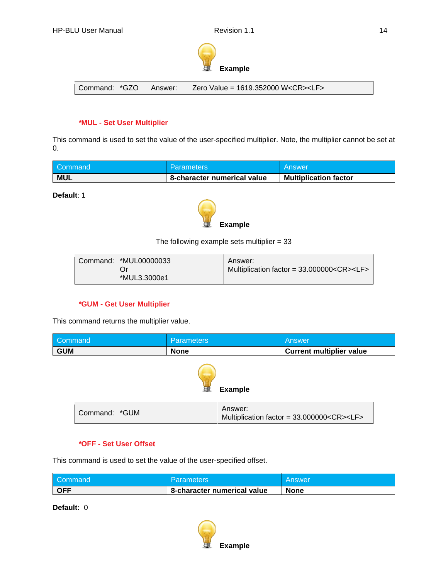

Command:  $*GZO$  | Answer: Zero Value = 1619.352000 W<CR><LF>

#### *\****MUL - Set User Multiplier**

This command is used to set the value of the user-specified multiplier. Note, the multiplier cannot be set at 0.

| Command    | <b>Parameters</b>           | l Answer                     |
|------------|-----------------------------|------------------------------|
| <b>MUL</b> | 8-character numerical value | <b>Multiplication factor</b> |

**Default**: 1



The following example sets multiplier  $= 33$ 

#### *\****GUM - Get User Multiplier**

This command returns the multiplier value.

| Command        | <b>Parameters</b> |         | <b>Answer</b>                                        |  |
|----------------|-------------------|---------|------------------------------------------------------|--|
| <b>GUM</b>     | <b>None</b>       |         | <b>Current multiplier value</b>                      |  |
| <b>Example</b> |                   |         |                                                      |  |
| Command: *GUM  |                   | Answer: | Multiplication factor = 33.000000 <cr><lf></lf></cr> |  |

#### *\****OFF - Set User Offset**

This command is used to set the value of the user-specified offset.

| Command    | Parameters                  | <b>Answer</b> |
|------------|-----------------------------|---------------|
| <b>OFF</b> | 8-character numerical value | <b>None</b>   |

**Default:** 0

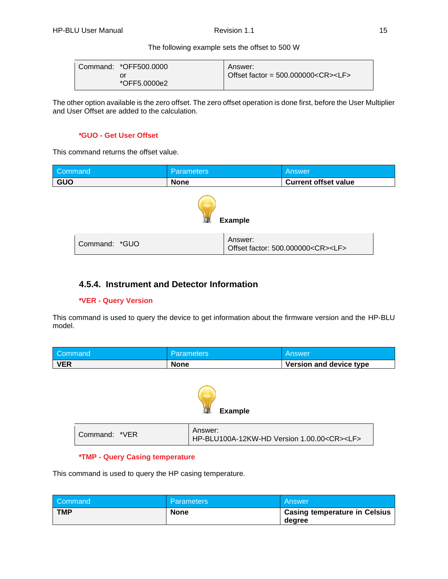#### The following example sets the offset to 500 W

| Command: *OFF500.0000 | Answer:                                                                              |
|-----------------------|--------------------------------------------------------------------------------------|
| Οľ                    | Offset factor = $500.000000 \text{<} \text{CR} \text{>} \text{<} \text{LF} \text{>}$ |
| *OFF5.0000e2          |                                                                                      |

The other option available is the zero offset. The zero offset operation is done first, before the User Multiplier and User Offset are added to the calculation.

#### *\****GUO - Get User Offset**

This command returns the offset value.

| Command        | <b>Parameters</b> |         | Answer                                       |  |
|----------------|-------------------|---------|----------------------------------------------|--|
| <b>GUO</b>     | <b>None</b>       |         | <b>Current offset value</b>                  |  |
| <b>Example</b> |                   |         |                                              |  |
| Command: *GUO  |                   | Answer: | Offset factor: 500.000000 <cr><lf></lf></cr> |  |

# <span id="page-18-0"></span>**4.5.4. Instrument and Detector Information**

#### *\****VER - Query Version**

This command is used to query the device to get information about the firmware version and the HP-BLU model.

| Command    | <b>Parameters</b> | Answer                         |
|------------|-------------------|--------------------------------|
| <b>VER</b> | <b>None</b>       | <b>Version and device type</b> |



| Command: *VER | Answer:<br>HP-BLU100A-12KW-HD Version 1.00.00 <cr><lf></lf></cr> |
|---------------|------------------------------------------------------------------|
|---------------|------------------------------------------------------------------|

#### *\****TMP - Query Casing temperature**

This command is used to query the HP casing temperature.

| Command    | <b>Parameters</b> | Answer                        |
|------------|-------------------|-------------------------------|
| <b>TMP</b> | <b>None</b>       | Casing temperature in Celsius |
|            |                   | degree                        |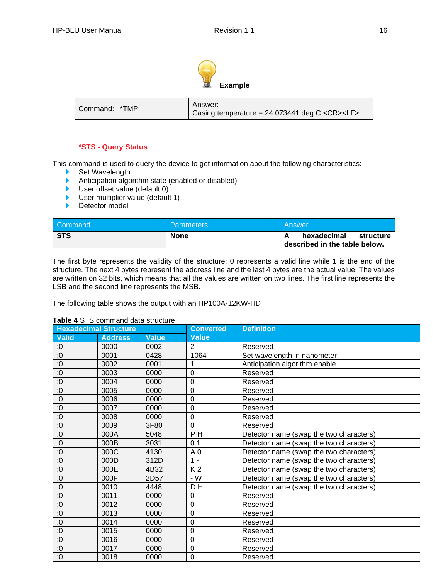

| Command: *TMP | Answer:<br>Casing temperature = $24.073441$ deg C <cr><lf></lf></cr> |
|---------------|----------------------------------------------------------------------|
|---------------|----------------------------------------------------------------------|

#### *\****STS - Query Status**

This command is used to query the device to get information about the following characteristics:

- ▶ Set Wavelength
- Anticipation algorithm state (enabled or disabled)
- User offset value (default 0)
- **User multiplier value (default 1)**
- Detector model

| Command    | <b>Parameters</b> | Answer                                                    |
|------------|-------------------|-----------------------------------------------------------|
| <b>STS</b> | <b>None</b>       | hexadecimal<br>structure<br>described in the table below. |

The first byte represents the validity of the structure: 0 represents a valid line while 1 is the end of the structure. The next 4 bytes represent the address line and the last 4 bytes are the actual value. The values are written on 32 bits, which means that all the values are written on two lines. The first line represents the LSB and the second line represents the MSB.

The following table shows the output with an HP100A-12KW-HD

#### **Hexadecimal Structure Converted Value Definition Valid Address Value** :0 | 0000 | 0002 | 2 | Reserved :0 0001 0428 1064 Set wavelength in nanometer :0 0002 0001 1 Anticipation algorithm enable :0 | 0003 | 0000 | 0 | Reserved :0 | 0004 | 0000 | 0 Reserved :0 | 0005 | 0000 | 0 Reserved :0 | 0006 | 0000 | 0 | Reserved :0 | 0007 | 0000 | 0 | Reserved :0 | 0008 | 0000 | 0 | Reserved :0 0009 3F80 0 Reserved :0 000A 5048 P H Detector name (swap the two characters)<br>:0 000B 3031 01 Detector name (swap the two characters) :0 000B 3031 0 1 Detector name (swap the two characters) :0 | 000C | 4130 | A 0 | Detector name (swap the two characters) :0 000D 312D 1 - Detector name (swap the two characters) :0 000E 4B32 K 2 Detector name (swap the two characters) :0 000F 2D57 - W Detector name (swap the two characters) :0 0010 4448 D H Detector name (swap the two characters) :0 | 0011 | 0000 | 0 | Reserved :0 | 0012 | 0000 | 0 | Reserved :0 | 0013 | 0000 | 0 | Reserved :0 | 0014 | 0000 | 0 | Reserved :0 0015 0000 0 Reserved :0 | 0016 | 0000 | 0 | Reserved :0 | 0017 | 0000 | 0 | Reserved :0 | 0018 | 0000 | 0 | Reserved

#### **Table 4** STS command data structure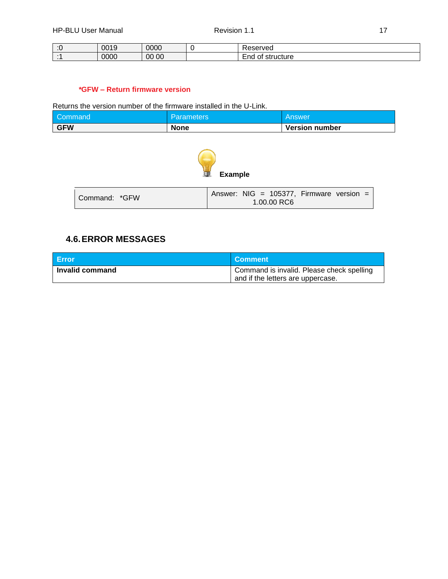| $\cdot$ $\sim$ | 0019<br>ں ا | 0000     | '' veu                         |
|----------------|-------------|----------|--------------------------------|
| . .            | 0000        | 00<br>00 | Ena<br>uciure<br>- 11<br>ا دی. |

#### *\****GFW – Return firmware version**

Returns the version number of the firmware installed in the U-Link.

| Command    | <b>Parameters</b> | l Answer              |
|------------|-------------------|-----------------------|
| <b>GFW</b> | <b>None</b>       | <b>Version number</b> |



| Command: *GFW | Answer: NIG = 105377, Firmware version = |
|---------------|------------------------------------------|
|               | 1.00.00 RC6                              |

# <span id="page-20-0"></span>**4.6.ERROR MESSAGES**

| <b>Error</b>    | <b>Comment</b>                            |
|-----------------|-------------------------------------------|
| Invalid command | Command is invalid. Please check spelling |
|                 | and if the letters are uppercase.         |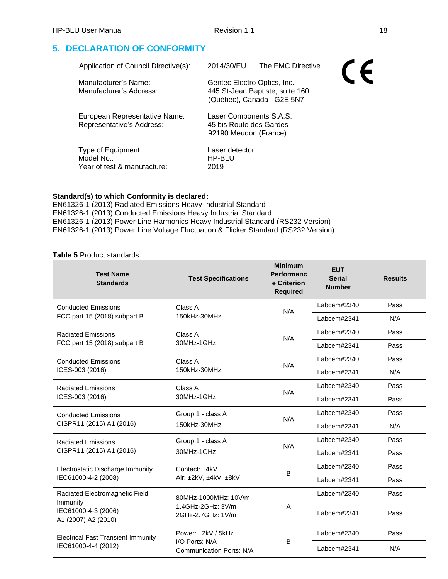# <span id="page-21-0"></span>**5. DECLARATION OF CONFORMITY**

| Application of Council Directive(s):                            | 2014/30/EU                                                                  | The EMC Directive                                           |  |
|-----------------------------------------------------------------|-----------------------------------------------------------------------------|-------------------------------------------------------------|--|
| Manufacturer's Name:<br>Manufacturer's Address:                 | Gentec Electro Optics, Inc.                                                 | 445 St-Jean Baptiste, suite 160<br>(Québec), Canada G2E 5N7 |  |
| European Representative Name:<br>Representative's Address:      | Laser Components S.A.S.<br>45 bis Route des Gardes<br>92190 Meudon (France) |                                                             |  |
| Type of Equipment:<br>Model No.:<br>Year of test & manufacture: | Laser detector<br>HP-BLU<br>2019                                            |                                                             |  |

#### **Standard(s) to which Conformity is declared:**

EN61326-1 (2013) Radiated Emissions Heavy Industrial Standard EN61326-1 (2013) Conducted Emissions Heavy Industrial Standard EN61326-1 (2013) Power Line Harmonics Heavy Industrial Standard (RS232 Version) EN61326-1 (2013) Power Line Voltage Fluctuation & Flicker Standard (RS232 Version)

#### **Table 5** Product standards

| <b>Test Name</b><br><b>Standards</b>                   | <b>Test Specifications</b>                 | <b>Minimum</b><br><b>Performanc</b><br>e Criterion<br><b>Required</b> | <b>EUT</b><br><b>Serial</b><br><b>Number</b> | <b>Results</b> |
|--------------------------------------------------------|--------------------------------------------|-----------------------------------------------------------------------|----------------------------------------------|----------------|
| <b>Conducted Emissions</b>                             | Class A                                    | N/A                                                                   | Labcem#2340                                  | Pass           |
| FCC part 15 (2018) subpart B                           | 150kHz-30MHz                               |                                                                       | Labcem#2341                                  | N/A            |
| <b>Radiated Emissions</b>                              | Class A                                    | N/A                                                                   | Labcem#2340                                  | Pass           |
| FCC part 15 (2018) subpart B                           | 30MHz-1GHz                                 |                                                                       | Labcem#2341                                  | Pass           |
| <b>Conducted Emissions</b>                             | Class A                                    | N/A                                                                   | Labcem#2340                                  | Pass           |
| ICES-003 (2016)                                        | 150kHz-30MHz                               |                                                                       | Labcem#2341                                  | N/A            |
| <b>Radiated Emissions</b>                              | Class A                                    | N/A                                                                   | Labcem#2340                                  | Pass           |
| ICES-003 (2016)                                        | 30MHz-1GHz                                 |                                                                       | Labcem#2341                                  | Pass           |
| <b>Conducted Emissions</b>                             | Group 1 - class A                          | N/A                                                                   | Labcem#2340                                  | Pass           |
| CISPR11 (2015) A1 (2016)                               | 150kHz-30MHz                               |                                                                       | Labcem#2341                                  | N/A            |
| <b>Radiated Emissions</b>                              | Group 1 - class A                          | N/A                                                                   | Labcem#2340                                  | Pass           |
| CISPR11 (2015) A1 (2016)                               | 30MHz-1GHz                                 | Labcem#2341                                                           | Pass                                         |                |
| Electrostatic Discharge Immunity                       | Contact: ±4kV                              | B                                                                     | Labcem#2340                                  | Pass           |
| IEC61000-4-2 (2008)                                    | Air: ±2kV, ±4kV, ±8kV                      |                                                                       | Labcem#2341                                  | Pass           |
| Radiated Electromagnetic Field                         | 80MHz-1000MHz: 10V/m                       |                                                                       | Labcem#2340                                  | Pass           |
| Immunity<br>IEC61000-4-3 (2006)<br>A1 (2007) A2 (2010) | 1.4GHz-2GHz: 3V/m<br>2GHz-2.7GHz: 1V/m     | A                                                                     | Labcem#2341                                  | Pass           |
| <b>Electrical Fast Transient Immunity</b>              | Power: ±2kV / 5kHz                         |                                                                       | Labcem#2340                                  | Pass           |
| IEC61000-4-4 (2012)                                    | I/O Ports: N/A<br>Communication Ports: N/A | B                                                                     | Labcem#2341                                  | N/A            |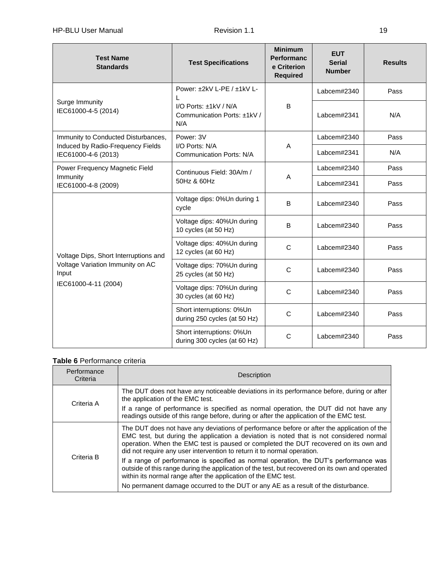| <b>Test Name</b><br><b>Standards</b>                              | <b>Test Specifications</b>                                    | <b>Minimum</b><br><b>Performanc</b><br>e Criterion<br><b>Required</b> | <b>EUT</b><br><b>Serial</b><br><b>Number</b> | <b>Results</b> |
|-------------------------------------------------------------------|---------------------------------------------------------------|-----------------------------------------------------------------------|----------------------------------------------|----------------|
| Surge Immunity                                                    | Power: $\pm 2kV$ L-PE / $\pm 1kV$ L-                          |                                                                       | Labcem#2340                                  | Pass           |
| IEC61000-4-5 (2014)                                               | I/O Ports: $±1kV / N/A$<br>Communication Ports: ±1kV /<br>N/A | B                                                                     | Labcem#2341                                  | N/A            |
| Immunity to Conducted Disturbances,                               | Power: 3V                                                     |                                                                       | Labcem#2340                                  | Pass           |
| Induced by Radio-Frequency Fields<br>IEC61000-4-6 (2013)          | I/O Ports: N/A<br><b>Communication Ports: N/A</b>             | A                                                                     | Labcem#2341                                  | N/A            |
| Power Frequency Magnetic Field                                    | Continuous Field: 30A/m /                                     |                                                                       | Labcem#2340                                  | Pass           |
| Immunity<br>IEC61000-4-8 (2009)                                   | 50Hz & 60Hz                                                   | A                                                                     | Labcem#2341                                  | Pass           |
|                                                                   | Voltage dips: 0%Un during 1<br>cycle                          | B                                                                     | Labcem#2340                                  | Pass           |
|                                                                   | Voltage dips: 40%Un during<br>10 cycles (at 50 Hz)            | B                                                                     | Labcem#2340                                  | Pass           |
| Voltage Dips, Short Interruptions and                             | Voltage dips: 40%Un during<br>12 cycles (at 60 Hz)            | $\mathsf{C}$                                                          | Labcem#2340                                  | Pass           |
| Voltage Variation Immunity on AC<br>Input<br>IEC61000-4-11 (2004) | Voltage dips: 70%Un during<br>25 cycles (at 50 Hz)            | C                                                                     | Labcem#2340                                  | Pass           |
|                                                                   | Voltage dips: 70%Un during<br>30 cycles (at 60 Hz)            | $\mathsf{C}$                                                          | Labcem#2340                                  | Pass           |
|                                                                   | Short interruptions: 0%Un<br>during 250 cycles (at 50 Hz)     | C                                                                     | Labcem#2340                                  | Pass           |
|                                                                   | Short interruptions: 0%Un<br>during 300 cycles (at 60 Hz)     | C                                                                     | Labcem#2340                                  | Pass           |

# **Table 6** Performance criteria

| Performance<br>Criteria | Description                                                                                                                                                                                                                                                                                                                                              |
|-------------------------|----------------------------------------------------------------------------------------------------------------------------------------------------------------------------------------------------------------------------------------------------------------------------------------------------------------------------------------------------------|
|                         | The DUT does not have any noticeable deviations in its performance before, during or after<br>the application of the EMC test.                                                                                                                                                                                                                           |
| Criteria A              | If a range of performance is specified as normal operation, the DUT did not have any<br>readings outside of this range before, during or after the application of the EMC test.                                                                                                                                                                          |
|                         | The DUT does not have any deviations of performance before or after the application of the<br>EMC test, but during the application a deviation is noted that is not considered normal<br>operation. When the EMC test is paused or completed the DUT recovered on its own and<br>did not require any user intervention to return it to normal operation. |
| Criteria B              | If a range of performance is specified as normal operation, the DUT's performance was<br>outside of this range during the application of the test, but recovered on its own and operated<br>within its normal range after the application of the EMC test.                                                                                               |
|                         | No permanent damage occurred to the DUT or any AE as a result of the disturbance.                                                                                                                                                                                                                                                                        |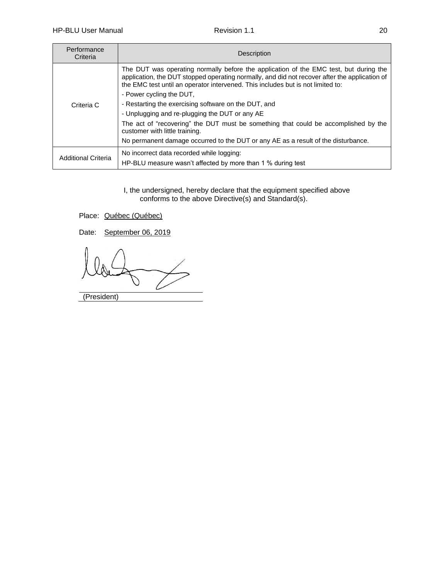| Performance<br>Criteria    | <b>Description</b>                                                                                                                                                                                                                                                        |
|----------------------------|---------------------------------------------------------------------------------------------------------------------------------------------------------------------------------------------------------------------------------------------------------------------------|
|                            | The DUT was operating normally before the application of the EMC test, but during the<br>application, the DUT stopped operating normally, and did not recover after the application of<br>the EMC test until an operator intervened. This includes but is not limited to: |
|                            | - Power cycling the DUT,                                                                                                                                                                                                                                                  |
| Criteria C                 | - Restarting the exercising software on the DUT, and                                                                                                                                                                                                                      |
|                            | - Unplugging and re-plugging the DUT or any AE                                                                                                                                                                                                                            |
|                            | The act of "recovering" the DUT must be something that could be accomplished by the<br>customer with little training.                                                                                                                                                     |
|                            | No permanent damage occurred to the DUT or any AE as a result of the disturbance.                                                                                                                                                                                         |
| <b>Additional Criteria</b> | No incorrect data recorded while logging:                                                                                                                                                                                                                                 |
|                            | HP-BLU measure wasn't affected by more than 1 % during test                                                                                                                                                                                                               |

I, the undersigned, hereby declare that the equipment specified above conforms to the above Directive(s) and Standard(s).

Place: Québec (Québec)

Date: September 06, 2019

(President)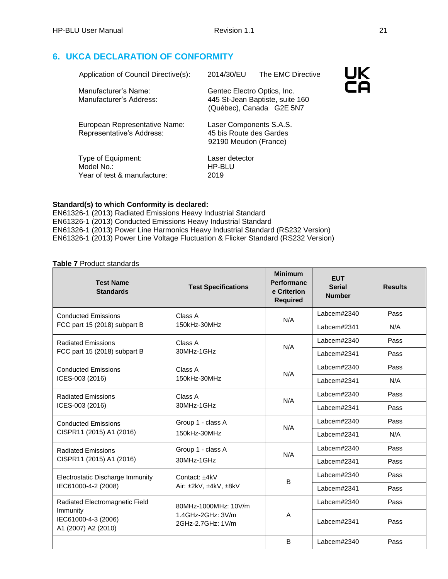# <span id="page-24-0"></span>**6. UKCA DECLARATION OF CONFORMITY**

| Application of Council Directive(s):                            | 2014/30/EU                                                                  | The EMC Directive               | UK. |
|-----------------------------------------------------------------|-----------------------------------------------------------------------------|---------------------------------|-----|
| Manufacturer's Name:<br>Manufacturer's Address:                 | Gentec Electro Optics, Inc.<br>(Québec), Canada G2E 5N7                     | 445 St-Jean Baptiste, suite 160 |     |
| European Representative Name:<br>Representative's Address:      | Laser Components S.A.S.<br>45 bis Route des Gardes<br>92190 Meudon (France) |                                 |     |
| Type of Equipment:<br>Model No.:<br>Year of test & manufacture: | Laser detector<br>HP-BLU<br>2019                                            |                                 |     |

#### **Standard(s) to which Conformity is declared:**

EN61326-1 (2013) Radiated Emissions Heavy Industrial Standard EN61326-1 (2013) Conducted Emissions Heavy Industrial Standard EN61326-1 (2013) Power Line Harmonics Heavy Industrial Standard (RS232 Version) EN61326-1 (2013) Power Line Voltage Fluctuation & Flicker Standard (RS232 Version)

#### **Table 7** Product standards

| <b>Test Name</b><br><b>Standards</b>                   | <b>Test Specifications</b>             | <b>Minimum</b><br><b>Performanc</b><br>e Criterion<br><b>Required</b> | <b>EUT</b><br><b>Serial</b><br><b>Number</b> | <b>Results</b> |
|--------------------------------------------------------|----------------------------------------|-----------------------------------------------------------------------|----------------------------------------------|----------------|
| <b>Conducted Emissions</b>                             | Class A                                | N/A                                                                   | Labcem#2340                                  | Pass           |
| FCC part 15 (2018) subpart B                           | 150kHz-30MHz                           |                                                                       | Labcem#2341                                  | N/A            |
| <b>Radiated Emissions</b>                              | Class A                                | N/A                                                                   | Labcem#2340                                  | Pass           |
| FCC part 15 (2018) subpart B                           | 30MHz-1GHz                             |                                                                       | Labcem#2341                                  | Pass           |
| <b>Conducted Emissions</b>                             | Class A                                | N/A                                                                   | Labcem#2340                                  | Pass           |
| ICES-003 (2016)                                        | 150kHz-30MHz                           |                                                                       | Labcem#2341                                  | N/A            |
| <b>Radiated Emissions</b>                              | Class A                                | N/A                                                                   | Labcem#2340                                  | Pass           |
| ICES-003 (2016)                                        | 30MHz-1GHz                             |                                                                       | Labcem#2341                                  | Pass           |
| <b>Conducted Emissions</b>                             | Group 1 - class A                      | N/A                                                                   | Labcem#2340                                  | Pass           |
| CISPR11 (2015) A1 (2016)                               | 150kHz-30MHz                           |                                                                       | Labcem#2341                                  | N/A            |
| <b>Radiated Emissions</b>                              | Group 1 - class A                      | N/A                                                                   | Labcem#2340                                  | Pass           |
| CISPR11 (2015) A1 (2016)                               | 30MHz-1GHz                             |                                                                       | Labcem#2341                                  | Pass           |
| Electrostatic Discharge Immunity                       | Contact: +4kV                          | B                                                                     | Labcem#2340                                  | Pass           |
| IEC61000-4-2 (2008)                                    | Air: ±2kV, ±4kV, ±8kV                  |                                                                       | Labcem#2341                                  | Pass           |
| Radiated Electromagnetic Field                         | 80MHz-1000MHz: 10V/m                   |                                                                       | Labcem#2340                                  | Pass           |
| Immunity<br>IEC61000-4-3 (2006)<br>A1 (2007) A2 (2010) | 1.4GHz-2GHz: 3V/m<br>2GHz-2.7GHz: 1V/m | A                                                                     | Labcem#2341                                  | Pass           |
|                                                        |                                        | B                                                                     | Labcem#2340                                  | Pass           |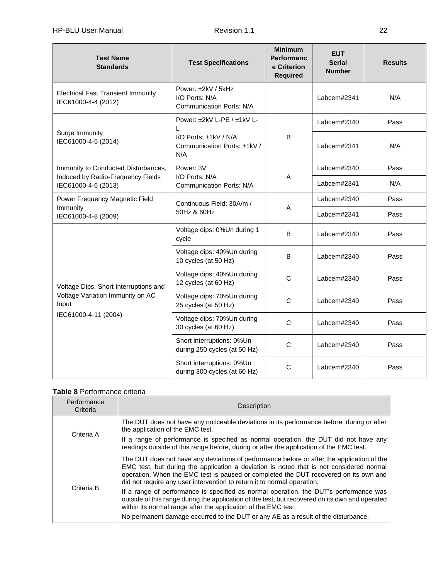| <b>Test Name</b><br><b>Standards</b>                                                                       | <b>Test Specifications</b>                                              | <b>Minimum</b><br><b>Performanc</b><br>e Criterion<br><b>Required</b> | <b>EUT</b><br><b>Serial</b><br><b>Number</b> | <b>Results</b> |
|------------------------------------------------------------------------------------------------------------|-------------------------------------------------------------------------|-----------------------------------------------------------------------|----------------------------------------------|----------------|
| <b>Electrical Fast Transient Immunity</b><br>IEC61000-4-4 (2012)                                           | Power: ±2kV / 5kHz<br>I/O Ports: N/A<br><b>Communication Ports: N/A</b> |                                                                       | Labcem#2341                                  | N/A            |
|                                                                                                            | Power: ±2kV L-PE / ±1kV L-                                              |                                                                       | Labcem#2340                                  | Pass           |
| Surge Immunity<br>IEC61000-4-5 (2014)                                                                      | I/O Ports: ±1kV / N/A<br>Communication Ports: ±1kV /<br>N/A             | B                                                                     | Labcem#2341                                  | N/A            |
| Immunity to Conducted Disturbances,                                                                        | Power: 3V                                                               |                                                                       | Labcem#2340                                  | Pass           |
| Induced by Radio-Frequency Fields<br>IEC61000-4-6 (2013)                                                   | I/O Ports: N/A<br><b>Communication Ports: N/A</b>                       | A                                                                     | Labcem#2341                                  | N/A            |
| Power Frequency Magnetic Field                                                                             | Continuous Field: 30A/m /                                               | Α                                                                     | Labcem#2340                                  | Pass           |
| Immunity<br>IEC61000-4-8 (2009)                                                                            | 50Hz & 60Hz                                                             |                                                                       | Labcem#2341                                  | Pass           |
|                                                                                                            | Voltage dips: 0%Un during 1<br>cycle                                    | B                                                                     | Labcem#2340                                  | Pass           |
|                                                                                                            | Voltage dips: 40%Un during<br>10 cycles (at 50 Hz)                      | B                                                                     | Labcem#2340                                  | Pass           |
| Voltage Dips, Short Interruptions and<br>Voltage Variation Immunity on AC<br>Input<br>IEC61000-4-11 (2004) | Voltage dips: 40%Un during<br>12 cycles (at 60 Hz)                      | $\mathbf C$                                                           | Labcem#2340                                  | Pass           |
|                                                                                                            | Voltage dips: 70%Un during<br>25 cycles (at 50 Hz)                      | $\mathsf{C}$                                                          | Labcem#2340                                  | Pass           |
|                                                                                                            | Voltage dips: 70%Un during<br>30 cycles (at 60 Hz)                      | $\mathsf{C}$                                                          | Labcem#2340                                  | Pass           |
|                                                                                                            | Short interruptions: 0%Un<br>during 250 cycles (at 50 Hz)               | $\mathsf{C}$                                                          | Labcem#2340                                  | Pass           |
|                                                                                                            | Short interruptions: 0%Un<br>during 300 cycles (at 60 Hz)               | $\mathbf C$                                                           | Labcem#2340                                  | Pass           |

# **Table 8** Performance criteria

| Performance<br>Criteria | <b>Description</b>                                                                                                                                                                                                                                                                                                                                       |
|-------------------------|----------------------------------------------------------------------------------------------------------------------------------------------------------------------------------------------------------------------------------------------------------------------------------------------------------------------------------------------------------|
| Criteria A              | The DUT does not have any noticeable deviations in its performance before, during or after<br>the application of the EMC test.                                                                                                                                                                                                                           |
|                         | If a range of performance is specified as normal operation, the DUT did not have any<br>readings outside of this range before, during or after the application of the EMC test.                                                                                                                                                                          |
| Criteria B              | The DUT does not have any deviations of performance before or after the application of the<br>EMC test, but during the application a deviation is noted that is not considered normal<br>operation. When the EMC test is paused or completed the DUT recovered on its own and<br>did not require any user intervention to return it to normal operation. |
|                         | If a range of performance is specified as normal operation, the DUT's performance was<br>outside of this range during the application of the test, but recovered on its own and operated<br>within its normal range after the application of the EMC test.                                                                                               |
|                         | No permanent damage occurred to the DUT or any AE as a result of the disturbance.                                                                                                                                                                                                                                                                        |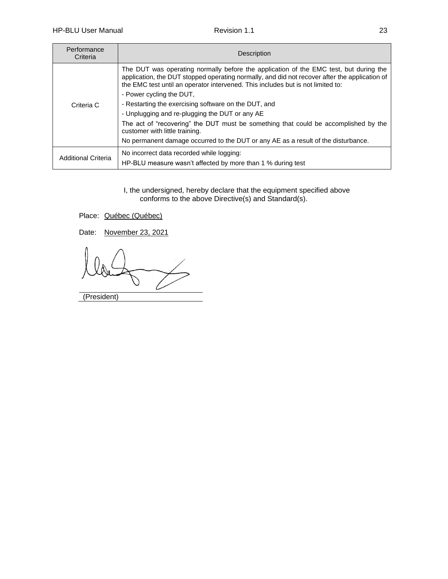| Performance<br>Criteria    | <b>Description</b>                                                                                                                                                                                                                                                        |
|----------------------------|---------------------------------------------------------------------------------------------------------------------------------------------------------------------------------------------------------------------------------------------------------------------------|
|                            | The DUT was operating normally before the application of the EMC test, but during the<br>application, the DUT stopped operating normally, and did not recover after the application of<br>the EMC test until an operator intervened. This includes but is not limited to: |
|                            | - Power cycling the DUT,<br>- Restarting the exercising software on the DUT, and                                                                                                                                                                                          |
| Criteria C                 | - Unplugging and re-plugging the DUT or any AE                                                                                                                                                                                                                            |
|                            |                                                                                                                                                                                                                                                                           |
|                            | The act of "recovering" the DUT must be something that could be accomplished by the<br>customer with little training.                                                                                                                                                     |
|                            | No permanent damage occurred to the DUT or any AE as a result of the disturbance.                                                                                                                                                                                         |
| <b>Additional Criteria</b> | No incorrect data recorded while logging:                                                                                                                                                                                                                                 |
|                            | HP-BLU measure wasn't affected by more than 1 % during test                                                                                                                                                                                                               |

I, the undersigned, hereby declare that the equipment specified above conforms to the above Directive(s) and Standard(s).

Place: Québec (Québec)

Date: November 23, 2021

(President)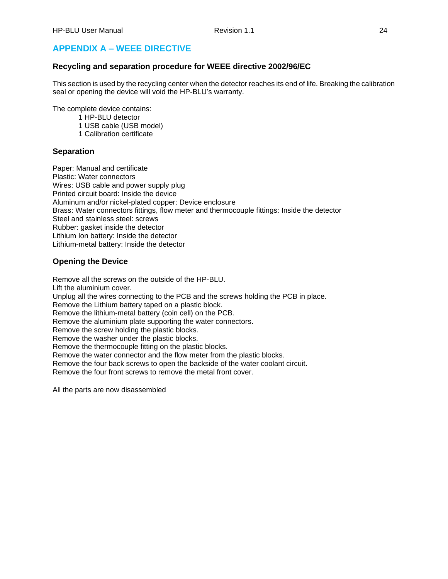# <span id="page-27-0"></span>**APPENDIX A – WEEE DIRECTIVE**

#### **Recycling and separation procedure for WEEE directive 2002/96/EC**

This section is used by the recycling center when the detector reaches its end of life. Breaking the calibration seal or opening the device will void the HP-BLU's warranty.

The complete device contains:

1 HP-BLU detector

1 USB cable (USB model)

1 Calibration certificate

#### **Separation**

Paper: Manual and certificate Plastic: Water connectors Wires: USB cable and power supply plug Printed circuit board: Inside the device Aluminum and/or nickel-plated copper: Device enclosure Brass: Water connectors fittings, flow meter and thermocouple fittings: Inside the detector Steel and stainless steel: screws Rubber: gasket inside the detector Lithium Ion battery: Inside the detector Lithium-metal battery: Inside the detector

#### **Opening the Device**

Remove all the screws on the outside of the HP-BLU. Lift the aluminium cover. Unplug all the wires connecting to the PCB and the screws holding the PCB in place. Remove the Lithium battery taped on a plastic block. Remove the lithium-metal battery (coin cell) on the PCB. Remove the aluminium plate supporting the water connectors. Remove the screw holding the plastic blocks. Remove the washer under the plastic blocks. Remove the thermocouple fitting on the plastic blocks. Remove the water connector and the flow meter from the plastic blocks. Remove the four back screws to open the backside of the water coolant circuit. Remove the four front screws to remove the metal front cover.

All the parts are now disassembled